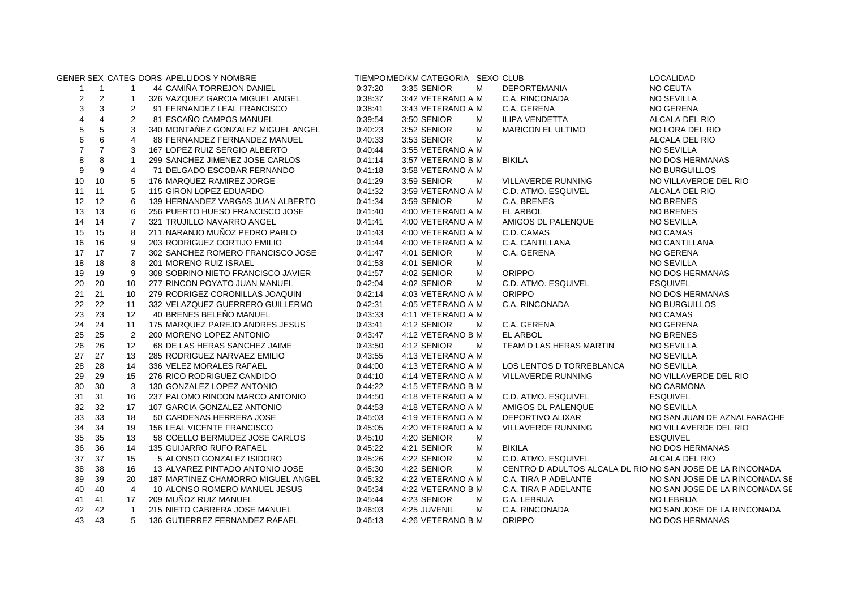|                |                |                | GENER SEX CATEG DORS APELLIDOS Y NOMBRE |         | TIEMPO MED/KM CATEGORIA SEXO CLUB |   |                                                            | LOCALIDAD                      |
|----------------|----------------|----------------|-----------------------------------------|---------|-----------------------------------|---|------------------------------------------------------------|--------------------------------|
| $\mathbf{1}$   | $\mathbf{1}$   | $\mathbf{1}$   | 44 CAMIÑA TORREJON DANIEL               | 0:37:20 | 3:35 SENIOR                       | М | <b>DEPORTEMANIA</b>                                        | NO CEUTA                       |
| $\overline{c}$ | $\overline{2}$ | $\mathbf{1}$   | 326 VAZQUEZ GARCIA MIGUEL ANGEL         | 0:38:37 | 3:42 VETERANO A M                 |   | C.A. RINCONADA                                             | <b>NO SEVILLA</b>              |
| 3              | 3              | $\overline{2}$ | 91 FERNANDEZ LEAL FRANCISCO             | 0:38:41 | 3:43 VETERANO A M                 |   | C.A. GERENA                                                | NO GERENA                      |
| 4              | $\overline{4}$ | $\overline{2}$ | 81 ESCAÑO CAMPOS MANUEL                 | 0:39:54 | 3:50 SENIOR                       | м | ILIPA VENDETTA                                             | ALCALA DEL RIO                 |
| $\,$ 5 $\,$    | $\mathbf 5$    | 3              | 340 MONTAÑEZ GONZALEZ MIGUEL ANGEL      | 0:40:23 | 3:52 SENIOR                       | м | <b>MARICON EL ULTIMO</b>                                   | NO LORA DEL RIO                |
| 6              | 6              | $\overline{4}$ | 88 FERNANDEZ FERNANDEZ MANUEL           | 0:40:33 | 3:53 SENIOR                       | м |                                                            | ALCALA DEL RIO                 |
| $\overline{7}$ | $\overline{7}$ | 3              | 167 LOPEZ RUIZ SERGIO ALBERTO           | 0:40:44 | 3:55 VETERANO A M                 |   |                                                            | <b>NO SEVILLA</b>              |
| 8              | 8              | $\mathbf{1}$   | 299 SANCHEZ JIMENEZ JOSE CARLOS         | 0.41.14 | 3:57 VETERANO B M                 |   | <b>BIKILA</b>                                              | NO DOS HERMANAS                |
| 9              | 9              | 4              | 71 DELGADO ESCOBAR FERNANDO             | 0.41.18 | 3:58 VETERANO A M                 |   |                                                            | NO BURGUILLOS                  |
| 10             | 10             | 5              | 176 MARQUEZ RAMIREZ JORGE               | 0:41:29 | 3:59 SENIOR                       | М | VILLAVERDE RUNNING                                         | NO VILLAVERDE DEL RIO          |
| 11             | 11             | 5              | 115 GIRON LOPEZ EDUARDO                 | 0:41:32 | 3:59 VETERANO A M                 |   | C.D. ATMO. ESQUIVEL                                        | ALCALA DEL RIO                 |
| 12             | 12             | 6              | 139 HERNANDEZ VARGAS JUAN ALBERTO       | 0:41:34 | 3:59 SENIOR                       | M | C.A. BRENES                                                | <b>NO BRENES</b>               |
| 13             | 13             | 6              | 256 PUERTO HUESO FRANCISCO JOSE         | 0.41.40 | 4:00 VETERANO A M                 |   | EL ARBOL                                                   | <b>NO BRENES</b>               |
| 14             | 14             | $\overline{7}$ | 321 TRUJILLO NAVARRO ANGEL              | 0:41:41 | 4:00 VETERANO A M                 |   | AMIGOS DL PALENQUE                                         | <b>NO SEVILLA</b>              |
| 15             | 15             | 8              | 211 NARANJO MUÑOZ PEDRO PABLO           | 0:41:43 | 4:00 VETERANO A M                 |   | C.D. CAMAS                                                 | NO CAMAS                       |
| 16             | 16             | 9              | 203 RODRIGUEZ CORTIJO EMILIO            | 0.41.44 | 4:00 VETERANO A M                 |   | C.A. CANTILLANA                                            | NO CANTILLANA                  |
| 17             | 17             | $\overline{7}$ | 302 SANCHEZ ROMERO FRANCISCO JOSE       | 0.41.47 | 4:01 SENIOR                       | М | C.A. GERENA                                                | NO GERENA                      |
| 18             | 18             | 8              | 201 MORENO RUIZ ISRAEL                  | 0:41:53 | 4:01 SENIOR                       | м |                                                            | <b>NO SEVILLA</b>              |
| 19             | 19             | 9              | 308 SOBRINO NIETO FRANCISCO JAVIER      | 0:41:57 | 4:02 SENIOR                       | М | <b>ORIPPO</b>                                              | NO DOS HERMANAS                |
| 20             | 20             | 10             | 277 RINCON POYATO JUAN MANUEL           | 0:42:04 | 4:02 SENIOR                       | M | C.D. ATMO. ESQUIVEL                                        | <b>ESQUIVEL</b>                |
| 21             | 21             | 10             | 279 RODRIGEZ CORONILLAS JOAQUIN         | 0:42:14 | 4:03 VETERANO A M                 |   | <b>ORIPPO</b>                                              | NO DOS HERMANAS                |
| 22             | 22             | 11             | 332 VELAZQUEZ GUERRERO GUILLERMO        | 0:42:31 | 4:05 VETERANO A M                 |   | C.A. RINCONADA                                             | NO BURGUILLOS                  |
| 23             | 23             | 12             | 40 BRENES BELEÑO MANUEL                 | 0:43:33 | 4:11 VETERANO A M                 |   |                                                            | NO CAMAS                       |
| 24             | 24             | 11             | 175 MARQUEZ PAREJO ANDRES JESUS         | 0:43:41 | 4:12 SENIOR                       | м | C.A. GERENA                                                | NO GERENA                      |
| 25             | 25             | 2              | 200 MORENO LOPEZ ANTONIO                | 0:43:47 | 4:12 VETERANO B M                 |   | <b>EL ARBOL</b>                                            | <b>NO BRENES</b>               |
| 26             | 26             | 12             | 68 DE LAS HERAS SANCHEZ JAIME           | 0:43:50 | 4:12 SENIOR                       | М | TEAM D LAS HERAS MARTIN                                    | <b>NO SEVILLA</b>              |
| 27             | 27             | 13             | 285 RODRIGUEZ NARVAEZ EMILIO            | 0:43:55 | 4:13 VETERANO A M                 |   |                                                            | <b>NO SEVILLA</b>              |
| 28             | 28             | 14             | 336 VELEZ MORALES RAFAEL                | 0:44:00 | 4:13 VETERANO A M                 |   | LOS LENTOS D TORREBLANCA                                   | NO SEVILLA                     |
| 29             | 29             | 15             | 276 RICO RODRIGUEZ CANDIDO              | 0:44:10 | 4:14 VETERANO A M                 |   | VILLAVERDE RUNNING                                         | NO VILLAVERDE DEL RIO          |
| 30             | 30             | 3              | 130 GONZALEZ LOPEZ ANTONIO              | 0:44:22 | 4:15 VETERANO B M                 |   |                                                            | NO CARMONA                     |
| 31             | 31             | 16             | 237 PALOMO RINCON MARCO ANTONIO         | 0:44:50 | 4:18 VETERANO A M                 |   | C.D. ATMO. ESQUIVEL                                        | <b>ESQUIVEL</b>                |
| 32             | 32             | 17             | 107 GARCIA GONZALEZ ANTONIO             | 0:44:53 | 4:18 VETERANO A M                 |   | AMIGOS DL PALENQUE                                         | <b>NO SEVILLA</b>              |
| 33             | 33             | 18             | 50 CARDENAS HERRERA JOSE                | 0.45.03 | 4:19 VETERANO A M                 |   | DEPORTIVO ALIXAR                                           | NO SAN JUAN DE AZNALFARACHE    |
| 34             | 34             | 19             | 156 LEAL VICENTE FRANCISCO              | 0:45:05 | 4:20 VETERANO A M                 |   | VILLAVERDE RUNNING                                         | NO VILLAVERDE DEL RIO          |
| 35             | 35             | 13             | 58 COELLO BERMUDEZ JOSE CARLOS          | 0:45:10 | 4:20 SENIOR                       | м |                                                            | <b>ESQUIVEL</b>                |
| 36             | 36             | 14             | 135 GUIJARRO RUFO RAFAEL                | 0:45:22 | 4:21 SENIOR                       | м | <b>BIKILA</b>                                              | NO DOS HERMANAS                |
| 37             | 37             | 15             | 5 ALONSO GONZALEZ ISIDORO               | 0:45:26 | 4:22 SENIOR                       | м | C.D. ATMO. ESQUIVEL                                        | ALCALA DEL RIO                 |
| 38             | 38             | 16             | 13 ALVAREZ PINTADO ANTONIO JOSE         | 0:45:30 | 4:22 SENIOR                       | М | CENTRO D ADULTOS ALCALA DL RIO NO SAN JOSE DE LA RINCONADA |                                |
| 39             | 39             | 20             | 187 MARTINEZ CHAMORRO MIGUEL ANGEL      | 0:45:32 | 4:22 VETERANO A M                 |   | C.A. TIRA P ADELANTE                                       | NO SAN JOSE DE LA RINCONADA SE |
| 40             | 40             | $\overline{4}$ | 10 ALONSO ROMERO MANUEL JESUS           | 0:45:34 | 4:22 VETERANO B M                 |   | C.A. TIRA P ADELANTE                                       | NO SAN JOSE DE LA RINCONADA SE |
| 41             | 41             | 17             | 209 MUÑOZ RUIZ MANUEL                   | 0:45:44 | 4:23 SENIOR                       | м | C.A. LEBRIJA                                               | <b>NO LEBRIJA</b>              |
| 42             | 42             | $\overline{1}$ | 215 NIETO CABRERA JOSE MANUEL           | 0:46:03 | 4:25 JUVENIL                      | м | C.A. RINCONADA                                             | NO SAN JOSE DE LA RINCONADA    |
| 43             | 43             | 5              | 136 GUTIERREZ FERNANDEZ RAFAEL          | 0:46:13 | 4:26 VETERANO B M                 |   | <b>ORIPPO</b>                                              | NO DOS HERMANAS                |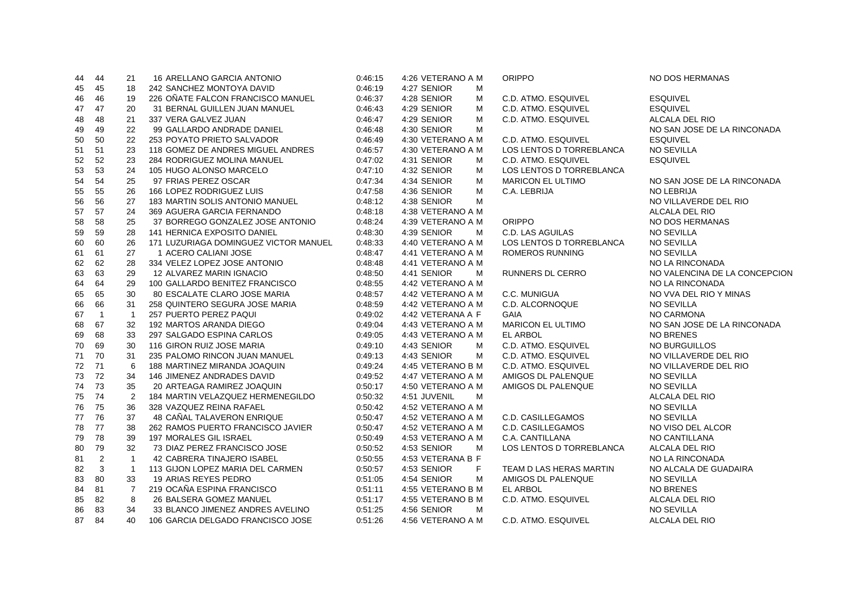| 44 | 44             | 21             | 16 ARELLANO GARCIA ANTONIO            | 0:46:15 | 4:26 VETERANO A M | <b>ORIPPO</b>            | NO DOS HERMANAS               |
|----|----------------|----------------|---------------------------------------|---------|-------------------|--------------------------|-------------------------------|
| 45 | 45             | 18             | 242 SANCHEZ MONTOYA DAVID             | 0:46:19 | 4:27 SENIOR<br>М  |                          |                               |
| 46 | 46             | 19             | 226 OÑATE FALCON FRANCISCO MANUEL     | 0:46:37 | 4:28 SENIOR<br>м  | C.D. ATMO. ESQUIVEL      | <b>ESQUIVEL</b>               |
| 47 | 47             | 20             | 31 BERNAL GUILLEN JUAN MANUEL         | 0:46:43 | 4:29 SENIOR<br>м  | C.D. ATMO. ESQUIVEL      | <b>ESQUIVEL</b>               |
| 48 | 48             | 21             | 337 VERA GALVEZ JUAN                  | 0:46:47 | 4:29 SENIOR<br>м  | C.D. ATMO. ESQUIVEL      | ALCALA DEL RIO                |
| 49 | 49             | 22             | 99 GALLARDO ANDRADE DANIEL            | 0:46:48 | 4:30 SENIOR<br>м  |                          | NO SAN JOSE DE LA RINCONADA   |
| 50 | 50             | 22             | 253 POYATO PRIETO SALVADOR            | 0:46:49 | 4:30 VETERANO A M | C.D. ATMO. ESQUIVEL      | <b>ESQUIVEL</b>               |
| 51 | 51             | 23             | 118 GOMEZ DE ANDRES MIGUEL ANDRES     | 0:46:57 | 4:30 VETERANO A M | LOS LENTOS D TORREBLANCA | NO SEVILLA                    |
| 52 | 52             | 23             | 284 RODRIGUEZ MOLINA MANUEL           | 0:47:02 | 4:31 SENIOR<br>м  | C.D. ATMO. ESQUIVEL      | <b>ESQUIVEL</b>               |
| 53 | 53             | 24             | 105 HUGO ALONSO MARCELO               | 0:47:10 | 4:32 SENIOR<br>м  | LOS LENTOS D TORREBLANCA |                               |
| 54 | 54             | 25             | 97 FRIAS PEREZ OSCAR                  | 0:47:34 | 4:34 SENIOR<br>м  | <b>MARICON EL ULTIMO</b> | NO SAN JOSE DE LA RINCONADA   |
| 55 | 55             | 26             | 166 LOPEZ RODRIGUEZ LUIS              | 0:47:58 | 4:36 SENIOR<br>м  | C.A. LEBRIJA             | <b>NO LEBRIJA</b>             |
| 56 | 56             | 27             | 183 MARTIN SOLIS ANTONIO MANUEL       | 0:48:12 | 4:38 SENIOR<br>М  |                          | NO VILLAVERDE DEL RIO         |
| 57 | 57             | 24             | 369 AGUERA GARCIA FERNANDO            | 0:48:18 | 4:38 VETERANO A M |                          | ALCALA DEL RIO                |
| 58 | 58             | 25             | 37 BORREGO GONZALEZ JOSE ANTONIO      | 0:48:24 | 4:39 VETERANO A M | <b>ORIPPO</b>            | NO DOS HERMANAS               |
| 59 | 59             | 28             | 141 HERNICA EXPOSITO DANIEL           | 0:48:30 | 4:39 SENIOR<br>M  | C.D. LAS AGUILAS         | <b>NO SEVILLA</b>             |
| 60 | 60             | 26             | 171 LUZURIAGA DOMINGUEZ VICTOR MANUEL | 0:48:33 | 4:40 VETERANO A M | LOS LENTOS D TORREBLANCA | <b>NO SEVILLA</b>             |
| 61 | 61             | 27             | 1 ACERO CALIANI JOSE                  | 0:48:47 | 4:41 VETERANO A M | <b>ROMEROS RUNNING</b>   | <b>NO SEVILLA</b>             |
| 62 | 62             | 28             | 334 VELEZ LOPEZ JOSE ANTONIO          | 0:48:48 | 4:41 VETERANO A M |                          | NO LA RINCONADA               |
| 63 | 63             | 29             | 12 ALVAREZ MARIN IGNACIO              | 0:48:50 | 4:41 SENIOR<br>M  | <b>RUNNERS DL CERRO</b>  | NO VALENCINA DE LA CONCEPCION |
| 64 | 64             | 29             | 100 GALLARDO BENITEZ FRANCISCO        | 0:48:55 | 4:42 VETERANO A M |                          | NO LA RINCONADA               |
| 65 | 65             | 30             | 80 ESCALATE CLARO JOSE MARIA          | 0:48:57 | 4:42 VETERANO A M | C.C. MUNIGUA             | NO VVA DEL RIO Y MINAS        |
| 66 | 66             | 31             | 258 QUINTERO SEGURA JOSE MARIA        | 0:48:59 | 4:42 VETERANO A M | C.D. ALCORNOQUE          | <b>NO SEVILLA</b>             |
| 67 | $\overline{1}$ | $\overline{1}$ | 257 PUERTO PEREZ PAQUI                | 0:49:02 | 4:42 VETERANA A F | <b>GAIA</b>              | NO CARMONA                    |
| 68 | 67             | 32             | 192 MARTOS ARANDA DIEGO               | 0:49:04 | 4:43 VETERANO A M | <b>MARICON EL ULTIMO</b> | NO SAN JOSE DE LA RINCONADA   |
| 69 | 68             | 33             | 297 SALGADO ESPINA CARLOS             | 0:49:05 | 4:43 VETERANO A M | EL ARBOL                 | <b>NO BRENES</b>              |
| 70 | 69             | 30             | 116 GIRON RUIZ JOSE MARIA             | 0:49:10 | 4:43 SENIOR<br>м  | C.D. ATMO. ESQUIVEL      | NO BURGUILLOS                 |
| 71 | 70             | 31             | 235 PALOMO RINCON JUAN MANUEL         | 0:49:13 | 4:43 SENIOR<br>М  | C.D. ATMO. ESQUIVEL      | NO VILLAVERDE DEL RIO         |
| 72 | 71             | 6              | 188 MARTINEZ MIRANDA JOAQUIN          | 0:49:24 | 4:45 VETERANO B M | C.D. ATMO. ESQUIVEL      | NO VILLAVERDE DEL RIO         |
| 73 | 72             | 34             | 146 JIMENEZ ANDRADES DAVID            | 0:49:52 | 4:47 VETERANO A M | AMIGOS DL PALENQUE       | <b>NO SEVILLA</b>             |
| 74 | -73            | 35             | 20 ARTEAGA RAMIREZ JOAQUIN            | 0:50:17 | 4:50 VETERANO A M | AMIGOS DL PALENQUE       | <b>NO SEVILLA</b>             |
| 75 | 74             | 2              | 184 MARTIN VELAZQUEZ HERMENEGILDO     | 0:50:32 | 4:51 JUVENIL<br>M |                          | ALCALA DEL RIO                |
| 76 | 75             | 36             | 328 VAZQUEZ REINA RAFAEL              | 0:50:42 | 4:52 VETERANO A M |                          | <b>NO SEVILLA</b>             |
| 77 | 76             | 37             | 48 CAÑAL TALAVERON ENRIQUE            | 0:50:47 | 4:52 VETERANO A M | C.D. CASILLEGAMOS        | <b>NO SEVILLA</b>             |
| 78 | 77             | 38             | 262 RAMOS PUERTO FRANCISCO JAVIER     | 0:50:47 | 4:52 VETERANO A M | C.D. CASILLEGAMOS        | NO VISO DEL ALCOR             |
| 79 | 78             | 39             | <b>197 MORALES GIL ISRAEL</b>         | 0:50:49 | 4:53 VETERANO A M | C.A. CANTILLANA          | NO CANTILLANA                 |
| 80 | 79             | 32             | 73 DIAZ PEREZ FRANCISCO JOSE          | 0:50:52 | 4:53 SENIOR<br>м  | LOS LENTOS D TORREBLANCA | ALCALA DEL RIO                |
| 81 | 2              | $\mathbf{1}$   | <b>42 CABRERA TINAJERO ISABEL</b>     | 0:50:55 | 4:53 VETERANA B F |                          | NO LA RINCONADA               |
| 82 | 3              | $\mathbf{1}$   | 113 GIJON LOPEZ MARIA DEL CARMEN      | 0:50:57 | F<br>4:53 SENIOR  | TEAM D LAS HERAS MARTIN  | NO ALCALA DE GUADAIRA         |
| 83 | 80             | 33             | 19 ARIAS REYES PEDRO                  | 0:51:05 | 4:54 SENIOR<br>M  | AMIGOS DL PALENQUE       | <b>NO SEVILLA</b>             |
| 84 | 81             | $\overline{7}$ | 219 OCAÑA ESPINA FRANCISCO            | 0:51:11 | 4:55 VETERANO B M | <b>EL ARBOL</b>          | <b>NO BRENES</b>              |
| 85 | 82             | 8              | 26 BALSERA GOMEZ MANUEL               | 0:51:17 | 4:55 VETERANO B M | C.D. ATMO. ESQUIVEL      | ALCALA DEL RIO                |
| 86 | 83             | 34             | 33 BLANCO JIMENEZ ANDRES AVELINO      | 0:51:25 | 4:56 SENIOR<br>M  |                          | <b>NO SEVILLA</b>             |
| 87 | 84             | 40             | 106 GARCIA DELGADO FRANCISCO JOSE     | 0:51:26 | 4:56 VETERANO A M | C.D. ATMO. ESQUIVEL      | ALCALA DEL RIO                |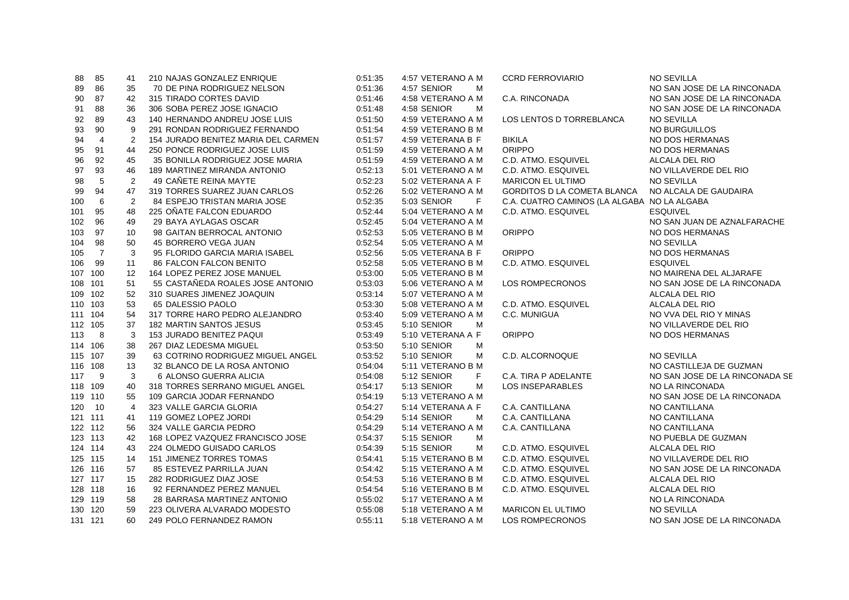| 88      | 85             | 41 | 210 NAJAS GONZALEZ ENRIQUE          | 0.51.35 | 4:57 VETERANO A M | <b>CCRD FERROVIARIO</b>                     | <b>NO SEVILLA</b>              |
|---------|----------------|----|-------------------------------------|---------|-------------------|---------------------------------------------|--------------------------------|
| 89      | 86             | 35 | 70 DE PINA RODRIGUEZ NELSON         | 0:51:36 | 4:57 SENIOR<br>M  |                                             | NO SAN JOSE DE LA RINCONADA    |
| 90      | 87             | 42 | 315 TIRADO CORTES DAVID             | 0.51.46 | 4:58 VETERANO A M | C.A. RINCONADA                              | NO SAN JOSE DE LA RINCONADA    |
| 91      | 88             | 36 | 306 SOBA PEREZ JOSE IGNACIO         | 0.51.48 | 4:58 SENIOR<br>M  |                                             | NO SAN JOSE DE LA RINCONADA    |
| 92      | 89             | 43 | 140 HERNANDO ANDREU JOSE LUIS       | 0:51:50 | 4:59 VETERANO A M | LOS LENTOS D TORREBLANCA                    | <b>NO SEVILLA</b>              |
| 93      | 90             | 9  | 291 RONDAN RODRIGUEZ FERNANDO       | 0:51:54 | 4:59 VETERANO B M |                                             | NO BURGUILLOS                  |
| 94      | $\overline{4}$ | 2  | 154 JURADO BENITEZ MARIA DEL CARMEN | 0:51:57 | 4:59 VETERANA B F | <b>BIKILA</b>                               | NO DOS HERMANAS                |
| 95      | 91             | 44 | 250 PONCE RODRIGUEZ JOSE LUIS       | 0:51:59 | 4:59 VETERANO A M | <b>ORIPPO</b>                               | NO DOS HERMANAS                |
| 96      | 92             | 45 | 35 BONILLA RODRIGUEZ JOSE MARIA     | 0.51.59 | 4:59 VETERANO A M | C.D. ATMO. ESQUIVEL                         | ALCALA DEL RIO                 |
| 97      | 93             | 46 | 189 MARTINEZ MIRANDA ANTONIO        | 0:52:13 | 5:01 VETERANO A M | C.D. ATMO. ESQUIVEL                         | NO VILLAVERDE DEL RIO          |
| 98      | 5              | 2  | 49 CAÑETE REINA MAYTE               | 0:52:23 | 5:02 VETERANA A F | <b>MARICON EL ULTIMO</b>                    | <b>NO SEVILLA</b>              |
| 99      | 94             | 47 | 319 TORRES SUAREZ JUAN CARLOS       | 0:52:26 | 5:02 VETERANO A M | <b>GORDITOS D LA COMETA BLANCA</b>          | NO ALCALA DE GAUDAIRA          |
| 100     | 6              | 2  | <b>84 ESPEJO TRISTAN MARIA JOSE</b> | 0:52:35 | 5:03 SENIOR<br>F. | C.A. CUATRO CAMINOS (LA ALGABA NO LA ALGABA |                                |
| 101     | 95             | 48 | 225 OÑATE FALCON EDUARDO            | 0:52:44 | 5:04 VETERANO A M | C.D. ATMO. ESQUIVEL                         | <b>ESQUIVEL</b>                |
| 102     | 96             | 49 | 29 BAYA AYLAGAS OSCAR               | 0:52:45 | 5:04 VETERANO A M |                                             | NO SAN JUAN DE AZNALFARACHE    |
| 103     | 97             | 10 | 98 GAITAN BERROCAL ANTONIO          | 0:52:53 | 5:05 VETERANO B M | <b>ORIPPO</b>                               | NO DOS HERMANAS                |
| 104     | 98             | 50 | 45 BORRERO VEGA JUAN                | 0:52:54 | 5:05 VETERANO A M |                                             | <b>NO SEVILLA</b>              |
| 105     | $\overline{7}$ | 3  | 95 FLORIDO GARCIA MARIA ISABEL      | 0.52.56 | 5:05 VETERANA B F | <b>ORIPPO</b>                               | NO DOS HERMANAS                |
| 106     | 99             | 11 | <b>86 FALCON FALCON BENITO</b>      | 0:52:58 | 5:05 VETERANO B M | C.D. ATMO. ESQUIVEL                         | <b>ESQUIVEL</b>                |
| 107 100 |                | 12 | 164 LOPEZ PEREZ JOSE MANUEL         | 0:53:00 | 5:05 VETERANO B M |                                             | NO MAIRENA DEL ALJARAFE        |
| 108 101 |                | 51 | 55 CASTAÑEDA ROALES JOSE ANTONIO    | 0:53:03 | 5:06 VETERANO A M | LOS ROMPECRONOS                             | NO SAN JOSE DE LA RINCONADA    |
| 109 102 |                | 52 | 310 SUARES JIMENEZ JOAQUIN          | 0:53:14 | 5:07 VETERANO A M |                                             | ALCALA DEL RIO                 |
| 110 103 |                | 53 | 65 DALESSIO PAOLO                   | 0:53:30 | 5:08 VETERANO A M | C.D. ATMO. ESQUIVEL                         | ALCALA DEL RIO                 |
| 111 104 |                | 54 | 317 TORRE HARO PEDRO ALEJANDRO      | 0:53:40 | 5:09 VETERANO A M | C.C. MUNIGUA                                | NO VVA DEL RIO Y MINAS         |
| 112 105 |                | 37 | 182 MARTIN SANTOS JESUS             | 0:53:45 | 5:10 SENIOR<br>м  |                                             | NO VILLAVERDE DEL RIO          |
| 113     | 8              | 3  | 153 JURADO BENITEZ PAQUI            | 0:53:49 | 5:10 VETERANA A F | <b>ORIPPO</b>                               | NO DOS HERMANAS                |
| 114 106 |                | 38 | 267 DIAZ LEDESMA MIGUEL             | 0:53:50 | 5:10 SENIOR<br>м  |                                             |                                |
| 115 107 |                | 39 | 63 COTRINO RODRIGUEZ MIGUEL ANGEL   | 0:53:52 | 5:10 SENIOR<br>M  | C.D. ALCORNOQUE                             | <b>NO SEVILLA</b>              |
| 116 108 |                | 13 | 32 BLANCO DE LA ROSA ANTONIO        | 0:54:04 | 5:11 VETERANO B M |                                             | NO CASTILLEJA DE GUZMAN        |
| 117     | 9              | 3  | 6 ALONSO GUERRA ALICIA              | 0.54:08 | 5:12 SENIOR<br>F. | C.A. TIRA P ADELANTE                        | NO SAN JOSE DE LA RINCONADA SE |
| 118 109 |                | 40 | 318 TORRES SERRANO MIGUEL ANGEL     | 0:54:17 | 5:13 SENIOR<br>м  | LOS INSEPARABLES                            | NO LA RINCONADA                |
| 119 110 |                | 55 | 109 GARCIA JODAR FERNANDO           | 0:54:19 | 5:13 VETERANO A M |                                             | NO SAN JOSE DE LA RINCONADA    |
| 120 10  |                | 4  | 323 VALLE GARCIA GLORIA             | 0:54:27 | 5:14 VETERANA A F | C.A. CANTILLANA                             | NO CANTILLANA                  |
| 121 111 |                | 41 | 119 GOMEZ LOPEZ JORDI               | 0:54:29 | 5:14 SENIOR<br>M  | C.A. CANTILLANA                             | NO CANTILLANA                  |
| 122 112 |                | 56 | 324 VALLE GARCIA PEDRO              | 0:54:29 | 5:14 VETERANO A M | C.A. CANTILLANA                             | NO CANTILLANA                  |
| 123 113 |                | 42 | 168 LOPEZ VAZQUEZ FRANCISCO JOSE    | 0.54.37 | 5:15 SENIOR<br>M  |                                             | NO PUEBLA DE GUZMAN            |
|         | 124 114        | 43 | 224 OLMEDO GUISADO CARLOS           | 0.54.39 | 5:15 SENIOR<br>м  | C.D. ATMO. ESQUIVEL                         | ALCALA DEL RIO                 |
| 125 115 |                | 14 | <b>151 JIMENEZ TORRES TOMAS</b>     | 0:54:41 | 5:15 VETERANO B M | C.D. ATMO. ESQUIVEL                         | NO VILLAVERDE DEL RIO          |
|         | 126 116        | 57 | 85 ESTEVEZ PARRILLA JUAN            | 0:54:42 | 5:15 VETERANO A M | C.D. ATMO. ESQUIVEL                         | NO SAN JOSE DE LA RINCONADA    |
|         | 127 117        | 15 | 282 RODRIGUEZ DIAZ JOSE             | 0:54:53 | 5:16 VETERANO B M | C.D. ATMO. ESQUIVEL                         | ALCALA DEL RIO                 |
| 128 118 |                | 16 | 92 FERNANDEZ PEREZ MANUEL           | 0.54:54 | 5:16 VETERANO B M | C.D. ATMO. ESQUIVEL                         | ALCALA DEL RIO                 |
| 129 119 |                | 58 | 28 BARRASA MARTINEZ ANTONIO         | 0:55:02 | 5:17 VETERANO A M |                                             | NO LA RINCONADA                |
| 130 120 |                | 59 | 223 OLIVERA ALVARADO MODESTO        | 0:55:08 | 5:18 VETERANO A M | <b>MARICON EL ULTIMO</b>                    | <b>NO SEVILLA</b>              |
| 131 121 |                | 60 | 249 POLO FERNANDEZ RAMON            | 0:55:11 | 5:18 VETERANO A M | LOS ROMPECRONOS                             | NO SAN JOSE DE LA RINCONADA    |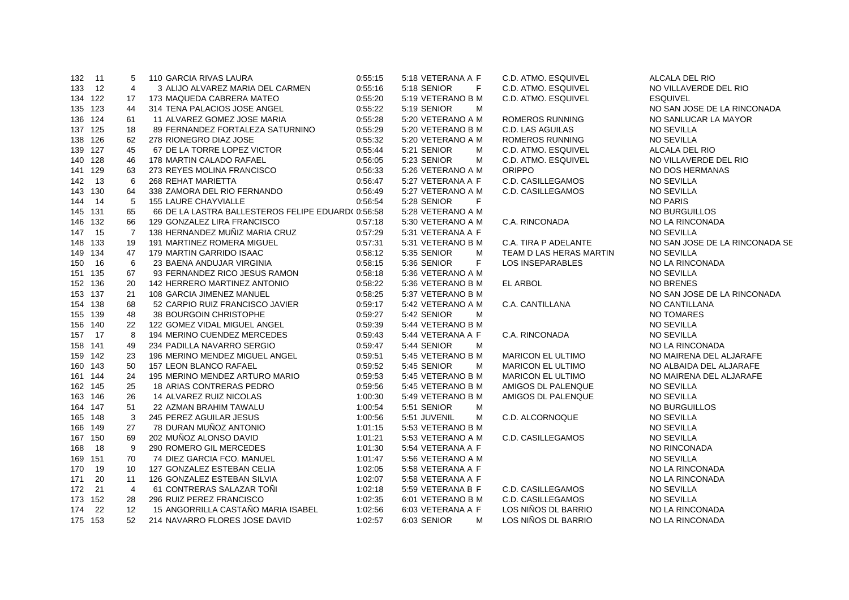| 132 11  |         | 5  | 110 GARCIA RIVAS LAURA                             | 0:55:15 | 5:18 VETERANA A F | C.D. ATMO. ESQUIVEL      | ALCALA DEL RIO                 |
|---------|---------|----|----------------------------------------------------|---------|-------------------|--------------------------|--------------------------------|
| 133 12  |         | 4  | 3 ALIJO ALVAREZ MARIA DEL CARMEN                   | 0:55:16 | 5:18 SENIOR<br>F  | C.D. ATMO. ESQUIVEL      | NO VILLAVERDE DEL RIO          |
|         | 134 122 | 17 | 173 MAQUEDA CABRERA MATEO                          | 0:55:20 | 5:19 VETERANO B M | C.D. ATMO. ESQUIVEL      | <b>ESQUIVEL</b>                |
| 135 123 |         | 44 | 314 TENA PALACIOS JOSE ANGEL                       | 0:55:22 | 5:19 SENIOR<br>M  |                          | NO SAN JOSE DE LA RINCONADA    |
| 136 124 |         | 61 | 11 ALVAREZ GOMEZ JOSE MARIA                        | 0:55:28 | 5:20 VETERANO A M | ROMEROS RUNNING          | NO SANLUCAR LA MAYOR           |
| 137 125 |         | 18 | 89 FERNANDEZ FORTALEZA SATURNINO                   | 0:55:29 | 5:20 VETERANO B M | C.D. LAS AGUILAS         | <b>NO SEVILLA</b>              |
| 138 126 |         | 62 | 278 RIONEGRO DIAZ JOSE                             | 0:55:32 | 5:20 VETERANO A M | <b>ROMEROS RUNNING</b>   | NO SEVILLA                     |
| 139 127 |         | 45 | 67 DE LA TORRE LOPEZ VICTOR                        | 0:55:44 | 5:21 SENIOR<br>M  | C.D. ATMO. ESQUIVEL      | ALCALA DEL RIO                 |
| 140 128 |         | 46 | 178 MARTIN CALADO RAFAEL                           | 0:56:05 | 5:23 SENIOR<br>M  | C.D. ATMO. ESQUIVEL      | NO VILLAVERDE DEL RIO          |
| 141 129 |         | 63 | 273 REYES MOLINA FRANCISCO                         | 0:56:33 | 5:26 VETERANO A M | <b>ORIPPO</b>            | NO DOS HERMANAS                |
| 142 13  |         | 6  | 268 REHAT MARIETTA                                 | 0:56:47 | 5:27 VETERANA A F | C.D. CASILLEGAMOS        | <b>NO SEVILLA</b>              |
| 143 130 |         | 64 | 338 ZAMORA DEL RIO FERNANDO                        | 0:56:49 | 5:27 VETERANO A M | C.D. CASILLEGAMOS        | NO SEVILLA                     |
| 144 14  |         | -5 | <b>155 LAURE CHAYVIALLE</b>                        | 0:56:54 | 5:28 SENIOR<br>F  |                          | NO PARIS                       |
| 145 131 |         | 65 | 66 DE LA LASTRA BALLESTEROS FELIPE EDUARD( 0:56:58 |         | 5:28 VETERANO A M |                          | NO BURGUILLOS                  |
| 146 132 |         | 66 | 129 GONZALEZ LIRA FRANCISCO                        | 0:57:18 | 5:30 VETERANO A M | C.A. RINCONADA           | NO LA RINCONADA                |
| 147 15  |         | 7  | 138 HERNANDEZ MUÑIZ MARIA CRUZ                     | 0:57:29 | 5:31 VETERANA A F |                          | <b>NO SEVILLA</b>              |
| 148 133 |         | 19 | 191 MARTINEZ ROMERA MIGUEL                         | 0:57:31 | 5:31 VETERANO B M | C.A. TIRA P ADELANTE     | NO SAN JOSE DE LA RINCONADA SE |
| 149 134 |         | 47 | 179 MARTIN GARRIDO ISAAC                           | 0:58:12 | 5:35 SENIOR<br>M  | TEAM D LAS HERAS MARTIN  | <b>NO SEVILLA</b>              |
| 150 16  |         | 6  | 23 BAENA ANDUJAR VIRGINIA                          | 0:58:15 | F<br>5:36 SENIOR  | LOS INSEPARABLES         | NO LA RINCONADA                |
| 151 135 |         | 67 | 93 FERNANDEZ RICO JESUS RAMON                      | 0:58:18 | 5:36 VETERANO A M |                          | <b>NO SEVILLA</b>              |
| 152 136 |         | 20 | 142 HERRERO MARTINEZ ANTONIO                       | 0:58:22 | 5:36 VETERANO B M | EL ARBOL                 | <b>NO BRENES</b>               |
| 153 137 |         | 21 | 108 GARCIA JIMENEZ MANUEL                          | 0:58:25 | 5:37 VETERANO B M |                          | NO SAN JOSE DE LA RINCONADA    |
| 154 138 |         | 68 | 52 CARPIO RUIZ FRANCISCO JAVIER                    | 0:59:17 | 5:42 VETERANO A M | C.A. CANTILLANA          | NO CANTILLANA                  |
| 155 139 |         | 48 | 38 BOURGOIN CHRISTOPHE                             | 0:59:27 | 5:42 SENIOR<br>M  |                          | NO TOMARES                     |
| 156 140 |         | 22 | 122 GOMEZ VIDAL MIGUEL ANGEL                       | 0:59:39 | 5:44 VETERANO B M |                          | NO SEVILLA                     |
| 157 17  |         | 8  | 194 MERINO CUENDEZ MERCEDES                        | 0:59:43 | 5:44 VETERANA A F | C.A. RINCONADA           | <b>NO SEVILLA</b>              |
| 158 141 |         | 49 | 234 PADILLA NAVARRO SERGIO                         | 0:59:47 | 5:44 SENIOR<br>M  |                          | NO LA RINCONADA                |
| 159 142 |         | 23 | 196 MERINO MENDEZ MIGUEL ANGEL                     | 0:59:51 | 5:45 VETERANO B M | <b>MARICON EL ULTIMO</b> | NO MAIRENA DEL ALJARAFE        |
| 160 143 |         | 50 | 157 LEON BLANCO RAFAEL                             | 0:59:52 | 5:45 SENIOR<br>M  | <b>MARICON EL ULTIMO</b> | NO ALBAIDA DEL ALJARAFE        |
| 161 144 |         | 24 | 195 MERINO MENDEZ ARTURO MARIO                     | 0:59:53 | 5:45 VETERANO B M | <b>MARICON EL ULTIMO</b> | NO MAIRENA DEL ALJARAFE        |
| 162 145 |         | 25 | 18 ARIAS CONTRERAS PEDRO                           | 0:59:56 | 5:45 VETERANO B M | AMIGOS DL PALENQUE       | <b>NO SEVILLA</b>              |
| 163 146 |         | 26 | 14 ALVAREZ RUIZ NICOLAS                            | 1:00:30 | 5:49 VETERANO B M | AMIGOS DL PALENQUE       | NO SEVILLA                     |
| 164 147 |         | 51 | 22 AZMAN BRAHIM TAWALU                             | 1:00:54 | 5:51 SENIOR<br>M  |                          | NO BURGUILLOS                  |
| 165 148 |         | 3  | 245 PEREZ AGUILAR JESUS                            | 1:00:56 | 5:51 JUVENIL<br>м | C.D. ALCORNOQUE          | NO SEVILLA                     |
| 166 149 |         | 27 | 78 DURAN MUÑOZ ANTONIO                             | 1:01:15 | 5:53 VETERANO B M |                          | NO SEVILLA                     |
| 167 150 |         | 69 | 202 MUNOZ ALONSO DAVID                             | 1:01:21 | 5:53 VETERANO A M | C.D. CASILLEGAMOS        | <b>NO SEVILLA</b>              |
| 168 18  |         | 9  | 290 ROMERO GIL MERCEDES                            | 1:01:30 | 5:54 VETERANA A F |                          | NO RINCONADA                   |
| 169 151 |         | 70 | 74 DIEZ GARCIA FCO. MANUEL                         | 1:01:47 | 5:56 VETERANO A M |                          | <b>NO SEVILLA</b>              |
| 170     | 19      | 10 | 127 GONZALEZ ESTEBAN CELIA                         | 1:02:05 | 5:58 VETERANA A F |                          | NO LA RINCONADA                |
| 171     | 20      | 11 | 126 GONZALEZ ESTEBAN SILVIA                        | 1:02:07 | 5:58 VETERANA A F |                          | NO LA RINCONADA                |
| 172 21  |         | 4  | 61 CONTRERAS SALAZAR TOÑI                          | 1:02:18 | 5:59 VETERANA B F | C.D. CASILLEGAMOS        | NO SEVILLA                     |
| 173 152 |         | 28 | 296 RUIZ PEREZ FRANCISCO                           | 1:02:35 | 6:01 VETERANO B M | C.D. CASILLEGAMOS        | <b>NO SEVILLA</b>              |
|         | 174 22  | 12 | 15 ANGORRILLA CASTAÑO MARIA ISABEL                 | 1:02:56 | 6:03 VETERANA A F | LOS NIÑOS DL BARRIO      | NO LA RINCONADA                |
| 175 153 |         | 52 | 214 NAVARRO FLORES JOSE DAVID                      | 1:02:57 | 6:03 SENIOR<br>м  | LOS NIÑOS DL BARRIO      | NO LA RINCONADA                |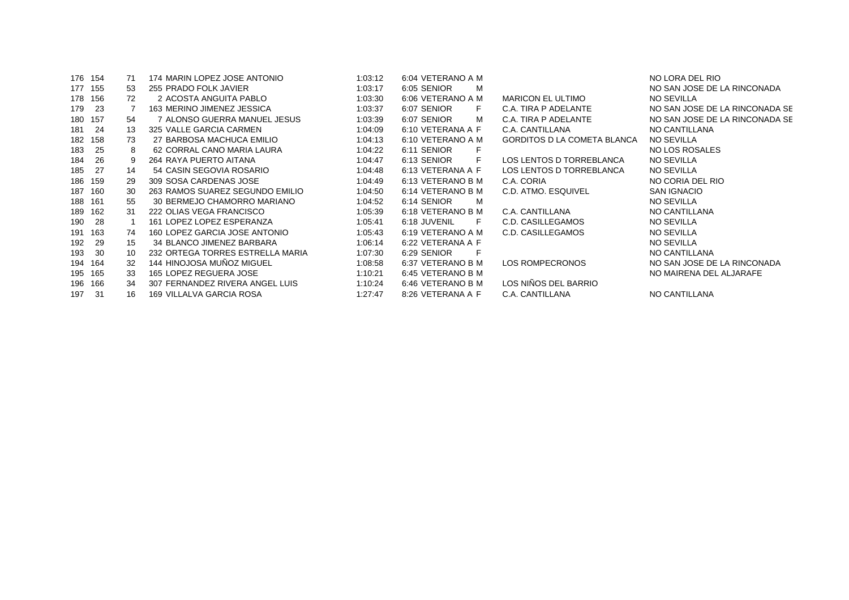| 176 154 |     | 71 | 174 MARIN LOPEZ JOSE ANTONIO     | 1:03:12 | 6:04 VETERANO A M |                                    | NO LORA DEL RIO                |
|---------|-----|----|----------------------------------|---------|-------------------|------------------------------------|--------------------------------|
| 177 155 |     | 53 | 255 PRADO FOLK JAVIER            | 1:03:17 | 6:05 SENIOR<br>м  |                                    | NO SAN JOSE DE LA RINCONADA    |
| 178 156 |     | 72 | 2 ACOSTA ANGUITA PABLO           | 1:03:30 | 6:06 VETERANO A M | <b>MARICON EL ULTIMO</b>           | NO SEVILLA                     |
| 179     | -23 |    | 163 MERINO JIMENEZ JESSICA       | 1:03:37 | 6:07 SENIOR<br>F. | C.A. TIRA P ADELANTE               | NO SAN JOSE DE LA RINCONADA SE |
| 180     | 157 | 54 | 7 ALONSO GUERRA MANUEL JESUS     | 1:03:39 | 6:07 SENIOR<br>м  | C.A. TIRA P ADELANTE               | NO SAN JOSE DE LA RINCONADA SE |
| 181     | -24 | 13 | 325 VALLE GARCIA CARMEN          | 1:04:09 | 6:10 VETERANA A F | C.A. CANTILLANA                    | NO CANTILLANA                  |
| 182     | 158 | 73 | 27 BARBOSA MACHUCA EMILIO        | 1:04:13 | 6:10 VETERANO A M | <b>GORDITOS D LA COMETA BLANCA</b> | <b>NO SEVILLA</b>              |
| 183     | 25  | 8  | 62 CORRAL CANO MARIA LAURA       | 1:04:22 | 6:11 SENIOR       |                                    | NO LOS ROSALES                 |
| 184     | 26  | 9  | 264 RAYA PUERTO AITANA           | 1:04:47 | 6:13 SENIOR<br>F. | LOS LENTOS D TORREBLANCA           | <b>NO SEVILLA</b>              |
| 185     | 27  | 14 | 54 CASIN SEGOVIA ROSARIO         | 1:04:48 | 6:13 VETERANA A F | LOS LENTOS D TORREBLANCA           | <b>NO SEVILLA</b>              |
| 186 159 |     | 29 | 309 SOSA CARDENAS JOSE           | 1:04:49 | 6:13 VETERANO B M | C.A. CORIA                         | NO CORIA DEL RIO               |
| 187 160 |     | 30 | 263 RAMOS SUAREZ SEGUNDO EMILIO  | 1:04:50 | 6:14 VETERANO B M | C.D. ATMO. ESQUIVEL                | <b>SAN IGNACIO</b>             |
| 188     | 161 | 55 | 30 BERMEJO CHAMORRO MARIANO      | 1:04:52 | 6:14 SENIOR<br>м  |                                    | <b>NO SEVILLA</b>              |
| 189     | 162 | 31 | 222 OLIAS VEGA FRANCISCO         | 1:05:39 | 6:18 VETERANO B M | C.A. CANTILLANA                    | NO CANTILLANA                  |
| 190     | 28  |    | 161 LOPEZ LOPEZ ESPERANZA        | 1:05:41 | 6:18 JUVENIL<br>F | C.D. CASILLEGAMOS                  | <b>NO SEVILLA</b>              |
| 191     | 163 | 74 | 160 LOPEZ GARCIA JOSE ANTONIO    | 1:05:43 | 6:19 VETERANO A M | C.D. CASILLEGAMOS                  | <b>NO SEVILLA</b>              |
| 192     | 29  | 15 | 34 BLANCO JIMENEZ BARBARA        | 1:06:14 | 6:22 VETERANA A F |                                    | <b>NO SEVILLA</b>              |
| 193     | -30 | 10 | 232 ORTEGA TORRES ESTRELLA MARIA | 1:07:30 | 6:29 SENIOR<br>F  |                                    | NO CANTILLANA                  |
| 194 164 |     | 32 | 144 HINOJOSA MUÑOZ MIGUEL        | 1:08:58 | 6:37 VETERANO B M | LOS ROMPECRONOS                    | NO SAN JOSE DE LA RINCONADA    |
| 195 165 |     | 33 | 165 LOPEZ REGUERA JOSE           | 1:10:21 | 6:45 VETERANO B M |                                    | NO MAIRENA DEL ALJARAFE        |
| 196 166 |     | 34 | 307 FERNANDEZ RIVERA ANGEL LUIS  | 1:10:24 | 6:46 VETERANO B M | LOS NIÑOS DEL BARRIO               |                                |
| 197     | -31 | 16 | 169 VILLALVA GARCIA ROSA         | 1:27:47 | 8:26 VETERANA A F | C.A. CANTILLANA                    | NO CANTILLANA                  |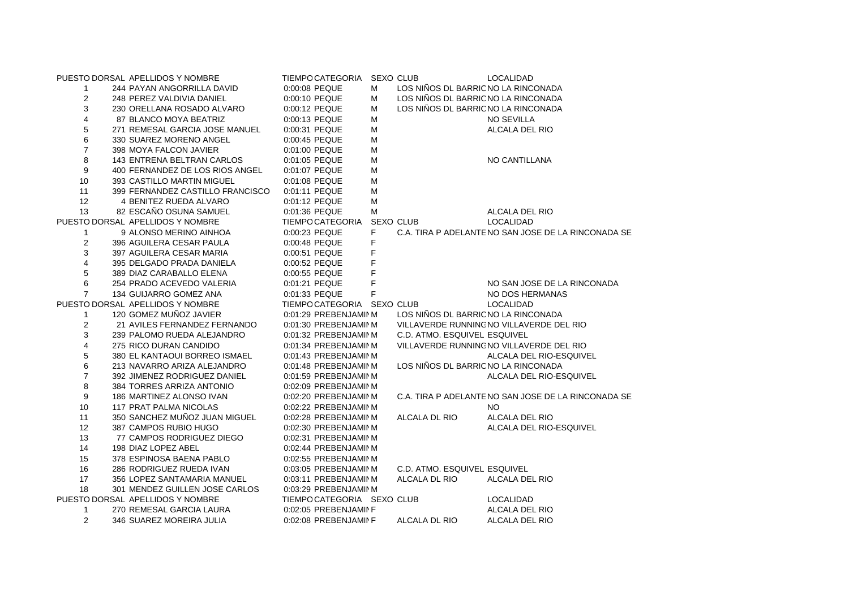|                         | PUESTO DORSAL APELLIDOS Y NOMBRE | TIEMPC CATEGORIA           |   | <b>SEXO CLUB</b>                    | <b>LOCALIDAD</b>                                    |
|-------------------------|----------------------------------|----------------------------|---|-------------------------------------|-----------------------------------------------------|
| $\mathbf{1}$            | 244 PAYAN ANGORRILLA DAVID       | 0:00:08 PEQUE              | М | LOS NIÑOS DL BARRIC NO LA RINCONADA |                                                     |
| $\overline{2}$          | 248 PEREZ VALDIVIA DANIEL        | 0:00:10 PEQUE              | м | LOS NIÑOS DL BARRIC NO LA RINCONADA |                                                     |
| 3                       | 230 ORELLANA ROSADO ALVARO       | 0:00:12 PEQUE              | м | LOS NIÑOS DL BARRIC NO LA RINCONADA |                                                     |
| 4                       | 87 BLANCO MOYA BEATRIZ           | 0:00:13 PEQUE              | M |                                     | NO SEVILLA                                          |
| 5                       | 271 REMESAL GARCIA JOSE MANUEL   | 0:00:31 PEQUE              | M |                                     | ALCALA DEL RIO                                      |
| 6                       | 330 SUAREZ MORENO ANGEL          | 0:00:45 PEQUE              | M |                                     |                                                     |
| $\overline{7}$          | 398 MOYA FALCON JAVIER           | 0:01:00 PEQUE              | M |                                     |                                                     |
| 8                       | 143 ENTRENA BELTRAN CARLOS       | 0:01:05 PEQUE              | M |                                     | NO CANTILLANA                                       |
| 9                       | 400 FERNANDEZ DE LOS RIOS ANGEL  | 0:01:07 PEQUE              | M |                                     |                                                     |
| 10                      | 393 CASTILLO MARTIN MIGUEL       | 0:01:08 PEQUE              | M |                                     |                                                     |
| 11                      | 399 FERNANDEZ CASTILLO FRANCISCO | 0:01:11 PEQUE              | M |                                     |                                                     |
| 12                      | 4 BENITEZ RUEDA ALVARO           | 0:01:12 PEQUE              | M |                                     |                                                     |
| 13                      | 82 ESCAÑO OSUNA SAMUEL           | 0:01:36 PEQUE              | M |                                     | ALCALA DEL RIO                                      |
|                         | PUESTO DORSAL APELLIDOS Y NOMBRE | <b>TIEMPC CATEGORIA</b>    |   | SEXO CLUB                           | LOCALIDAD                                           |
| 1                       | 9 ALONSO MERINO AINHOA           | 0:00:23 PEQUE              | F |                                     | C.A. TIRA P ADELANTE NO SAN JOSE DE LA RINCONADA SE |
| 2                       | 396 AGUILERA CESAR PAULA         | 0:00:48 PEQUE              | F |                                     |                                                     |
| 3                       | 397 AGUILERA CESAR MARIA         | 0:00:51 PEQUE              | F |                                     |                                                     |
| 4                       | 395 DELGADO PRADA DANIELA        | 0:00:52 PEQUE              | F |                                     |                                                     |
| 5                       | 389 DIAZ CARABALLO ELENA         | 0:00:55 PEQUE              | F |                                     |                                                     |
| 6                       | 254 PRADO ACEVEDO VALERIA        | 0:01:21 PEQUE              | F |                                     | NO SAN JOSE DE LA RINCONADA                         |
| $\overline{7}$          | 134 GUIJARRO GOMEZ ANA           | 0:01:33 PEQUE              | F |                                     | NO DOS HERMANAS                                     |
|                         | PUESTO DORSAL APELLIDOS Y NOMBRE | TIEMPC CATEGORIA SEXO CLUB |   |                                     | <b>LOCALIDAD</b>                                    |
| $\mathbf{1}$            | 120 GOMEZ MUÑOZ JAVIER           | 0:01:29 PREBENJAMINM       |   | LOS NIÑOS DL BARRIC NO LA RINCONADA |                                                     |
| 2                       | 21 AVILES FERNANDEZ FERNANDO     | 0:01:30 PREBENJAMINM       |   |                                     | VILLAVERDE RUNNING NO VILLAVERDE DEL RIO            |
| 3                       | 239 PALOMO RUEDA ALEJANDRO       | 0:01:32 PREBENJAMINM       |   | C.D. ATMO. ESQUIVEL ESQUIVEL        |                                                     |
| $\overline{\mathbf{4}}$ | 275 RICO DURAN CANDIDO           | 0:01:34 PREBENJAMINM       |   |                                     | VILLAVERDE RUNNING NO VILLAVERDE DEL RIO            |
| 5                       | 380 EL KANTAOUI BORREO ISMAEL    | 0:01:43 PREBENJAMINM       |   |                                     | ALCALA DEL RIO-ESQUIVEL                             |
| 6                       | 213 NAVARRO ARIZA ALEJANDRO      | 0:01:48 PREBENJAMINM       |   | LOS NIÑOS DL BARRIC NO LA RINCONADA |                                                     |
| $\overline{7}$          | 392 JIMENEZ RODRIGUEZ DANIEL     | 0:01:59 PREBENJAMINM       |   |                                     | ALCALA DEL RIO-ESQUIVEL                             |
| 8                       | 384 TORRES ARRIZA ANTONIO        | 0:02:09 PREBENJAMINM       |   |                                     |                                                     |
| 9                       | 186 MARTINEZ ALONSO IVAN         | 0:02:20 PREBENJAMINM       |   |                                     | C.A. TIRA P ADELANTE NO SAN JOSE DE LA RINCONADA SE |
| 10                      | 117 PRAT PALMA NICOLAS           | 0:02:22 PREBENJAMINM       |   |                                     | NO.                                                 |
| 11                      | 350 SANCHEZ MUÑOZ JUAN MIGUEL    | 0:02:28 PREBENJAMINM       |   | ALCALA DL RIO                       | ALCALA DEL RIO                                      |
| 12                      | 387 CAMPOS RUBIO HUGO            | 0:02:30 PREBENJAMINM       |   |                                     | ALCALA DEL RIO-ESQUIVEL                             |
| 13                      | 77 CAMPOS RODRIGUEZ DIEGO        | 0:02:31 PREBENJAMINM       |   |                                     |                                                     |
| 14                      | 198 DIAZ LOPEZ ABEL              | 0:02:44 PREBENJAMINM       |   |                                     |                                                     |
| 15                      | 378 ESPINOSA BAENA PABLO         | 0:02:55 PREBENJAMINM       |   |                                     |                                                     |
| 16                      | 286 RODRIGUEZ RUEDA IVAN         | 0:03:05 PREBENJAMINM       |   | C.D. ATMO. ESQUIVEL ESQUIVEL        |                                                     |
| 17                      | 356 LOPEZ SANTAMARIA MANUEL      | 0:03:11 PREBENJAMINM       |   | ALCALA DL RIO                       | ALCALA DEL RIO                                      |
| 18                      | 301 MENDEZ GUILLEN JOSE CARLOS   | 0:03:29 PREBENJAMINM       |   |                                     |                                                     |
|                         | PUESTO DORSAL APELLIDOS Y NOMBRE | TIEMPC CATEGORIA SEXO CLUB |   |                                     | <b>LOCALIDAD</b>                                    |
| 1                       | 270 REMESAL GARCIA LAURA         | 0:02:05 PREBENJAMINF       |   |                                     | ALCALA DEL RIO                                      |
| 2                       | 346 SUAREZ MOREIRA JULIA         | 0:02:08 PREBENJAMINF       |   | ALCALA DL RIO                       | ALCALA DEL RIO                                      |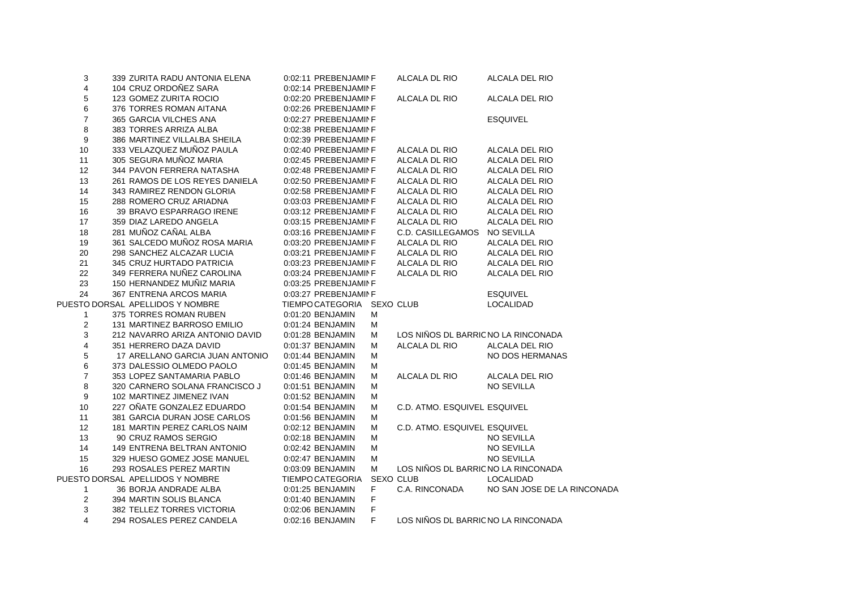| 3                | 339 ZURITA RADU ANTONIA ELENA    | 0:02:11 PREBENJAMINF       |    | ALCALA DL RIO                       | ALCALA DEL RIO              |
|------------------|----------------------------------|----------------------------|----|-------------------------------------|-----------------------------|
| 4                | 104 CRUZ ORDOÑEZ SARA            | 0:02:14 PREBENJAMINF       |    |                                     |                             |
| $\mathbf 5$      | 123 GOMEZ ZURITA ROCIO           | 0:02:20 PREBENJAMINF       |    | ALCALA DL RIO                       | ALCALA DEL RIO              |
| 6                | 376 TORRES ROMAN AITANA          | 0:02:26 PREBENJAMINF       |    |                                     |                             |
| $\overline{7}$   | 365 GARCIA VILCHES ANA           | 0:02:27 PREBENJAMINF       |    |                                     | <b>ESQUIVEL</b>             |
| 8                | 383 TORRES ARRIZA ALBA           | 0:02:38 PREBENJAMINF       |    |                                     |                             |
| 9                | 386 MARTINEZ VILLALBA SHEILA     | 0:02:39 PREBENJAMINF       |    |                                     |                             |
| 10               | 333 VELAZQUEZ MUÑOZ PAULA        | 0:02:40 PREBENJAMINF       |    | ALCALA DL RIO                       | ALCALA DEL RIO              |
| 11               | 305 SEGURA MUÑOZ MARIA           | 0:02:45 PREBENJAMINF       |    | ALCALA DL RIO                       | ALCALA DEL RIO              |
| 12               | 344 PAVON FERRERA NATASHA        | 0:02:48 PREBENJAMINF       |    | ALCALA DL RIO                       | ALCALA DEL RIO              |
| 13               | 261 RAMOS DE LOS REYES DANIELA   | 0:02:50 PREBENJAMINF       |    | ALCALA DL RIO                       | ALCALA DEL RIO              |
| 14               | 343 RAMIREZ RENDON GLORIA        | 0:02:58 PREBENJAMINF       |    | ALCALA DL RIO                       | ALCALA DEL RIO              |
| 15               | 288 ROMERO CRUZ ARIADNA          | 0:03:03 PREBENJAMINF       |    | ALCALA DL RIO                       | ALCALA DEL RIO              |
| 16               | 39 BRAVO ESPARRAGO IRENE         | 0:03:12 PREBENJAMINF       |    | ALCALA DL RIO                       | ALCALA DEL RIO              |
| 17               | 359 DIAZ LAREDO ANGELA           | 0:03:15 PREBENJAMINF       |    | ALCALA DL RIO                       | ALCALA DEL RIO              |
| 18               | 281 MUÑOZ CAÑAL ALBA             | 0:03:16 PREBENJAMINF       |    | C.D. CASILLEGAMOS                   | NO SEVILLA                  |
| 19               | 361 SALCEDO MUÑOZ ROSA MARIA     | 0:03:20 PREBENJAMINF       |    | ALCALA DL RIO                       | ALCALA DEL RIO              |
| 20               | 298 SANCHEZ ALCAZAR LUCIA        | 0:03:21 PREBENJAMINF       |    | ALCALA DL RIO                       | ALCALA DEL RIO              |
| 21               | 345 CRUZ HURTADO PATRICIA        | 0:03:23 PREBENJAMINF       |    | ALCALA DL RIO                       | ALCALA DEL RIO              |
| 22               | 349 FERRERA NUÑEZ CAROLINA       | 0:03:24 PREBENJAMINF       |    | ALCALA DL RIO                       | ALCALA DEL RIO              |
| 23               | 150 HERNANDEZ MUÑIZ MARIA        | 0:03:25 PREBENJAMINF       |    |                                     |                             |
| 24               | 367 ENTRENA ARCOS MARIA          | 0:03:27 PREBENJAMINF       |    |                                     | <b>ESQUIVEL</b>             |
|                  | PUESTO DORSAL APELLIDOS Y NOMBRE | TIEMPC CATEGORIA SEXO CLUB |    |                                     | LOCALIDAD                   |
| 1                | 375 TORRES ROMAN RUBEN           | 0:01:20 BENJAMIN           | м  |                                     |                             |
| $\boldsymbol{2}$ | 131 MARTINEZ BARROSO EMILIO      | 0:01:24 BENJAMIN           | Μ  |                                     |                             |
| 3                | 212 NAVARRO ARIZA ANTONIO DAVID  | 0:01:28 BENJAMIN           | М  | LOS NIÑOS DL BARRIC NO LA RINCONADA |                             |
| 4                | 351 HERRERO DAZA DAVID           | 0:01:37 BENJAMIN           | Μ  | ALCALA DL RIO                       | ALCALA DEL RIO              |
| $\mathbf 5$      | 17 ARELLANO GARCIA JUAN ANTONIO  | 0:01:44 BENJAMIN           | М  |                                     | NO DOS HERMANAS             |
| 6                | 373 DALESSIO OLMEDO PAOLO        | 0:01:45 BENJAMIN           | Μ  |                                     |                             |
| $\overline{7}$   | 353 LOPEZ SANTAMARIA PABLO       | 0:01:46 BENJAMIN           | М  | ALCALA DL RIO                       | ALCALA DEL RIO              |
| 8                | 320 CARNERO SOLANA FRANCISCO J   | 0:01:51 BENJAMIN           | Μ  |                                     | <b>NO SEVILLA</b>           |
| 9                | 102 MARTINEZ JIMENEZ IVAN        | 0:01:52 BENJAMIN           | Μ  |                                     |                             |
| 10               | 227 OÑATE GONZALEZ EDUARDO       | 0:01:54 BENJAMIN           | Μ  | C.D. ATMO. ESQUIVEL ESQUIVEL        |                             |
| 11               | 381 GARCIA DURAN JOSE CARLOS     | 0:01:56 BENJAMIN           | Μ  |                                     |                             |
| 12               | 181 MARTIN PEREZ CARLOS NAIM     | 0:02:12 BENJAMIN           | М  | C.D. ATMO. ESQUIVEL ESQUIVEL        |                             |
| 13               | 90 CRUZ RAMOS SERGIO             | 0:02:18 BENJAMIN           | Μ  |                                     | <b>NO SEVILLA</b>           |
| 14               | 149 ENTRENA BELTRAN ANTONIO      | 0:02:42 BENJAMIN           | м  |                                     | NO SEVILLA                  |
| 15               | 329 HUESO GOMEZ JOSE MANUEL      | 0:02:47 BENJAMIN           | Μ  |                                     | NO SEVILLA                  |
| 16               | 293 ROSALES PEREZ MARTIN         | 0:03:09 BENJAMIN           | M  | LOS NIÑOS DL BARRIC NO LA RINCONADA |                             |
|                  | PUESTO DORSAL APELLIDOS Y NOMBRE | TIEMPC CATEGORIA           |    | <b>SEXO CLUB</b>                    | LOCALIDAD                   |
| 1                | 36 BORJA ANDRADE ALBA            | 0:01:25 BENJAMIN           | F. | C.A. RINCONADA                      | NO SAN JOSE DE LA RINCONADA |
| $\overline{2}$   | 394 MARTIN SOLIS BLANCA          | 0:01:40 BENJAMIN           | F  |                                     |                             |
| 3                | 382 TELLEZ TORRES VICTORIA       | 0:02:06 BENJAMIN           | F  |                                     |                             |
| 4                | 294 ROSALES PEREZ CANDELA        | 0:02:16 BENJAMIN           | F  | LOS NIÑOS DL BARRIC NO LA RINCONADA |                             |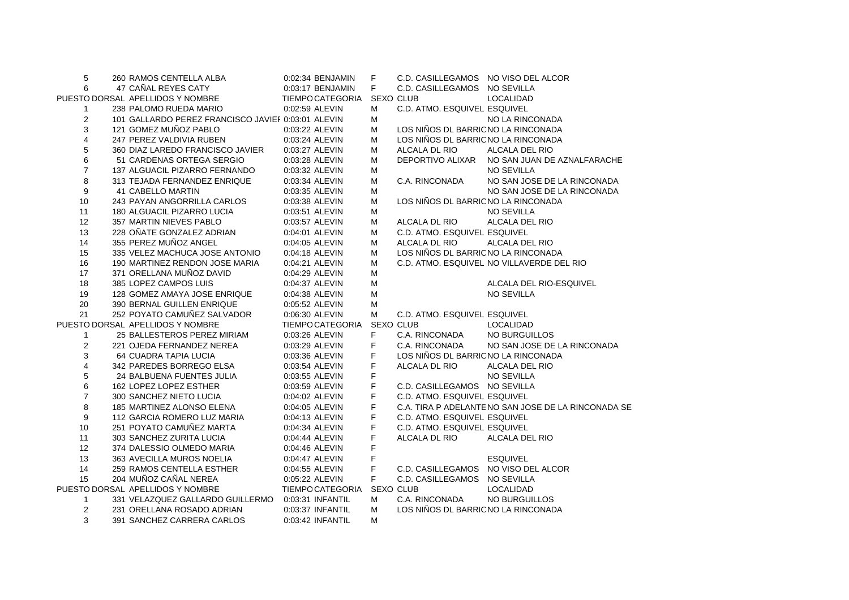| 5              | 260 RAMOS CENTELLA ALBA                            | 0:02:34 BENJAMIN        | F                | C.D. CASILLEGAMOS NO VISO DEL ALCOR |                                                     |
|----------------|----------------------------------------------------|-------------------------|------------------|-------------------------------------|-----------------------------------------------------|
| 6              | 47 CAÑAL REYES CATY                                | 0:03:17 BENJAMIN        | F.               | C.D. CASILLEGAMOS NO SEVILLA        |                                                     |
|                | PUESTO DORSAL APELLIDOS Y NOMBRE                   | TIEMPC CATEGORIA        | <b>SEXO CLUB</b> |                                     | <b>LOCALIDAD</b>                                    |
| 1              | 238 PALOMO RUEDA MARIO                             | 0:02:59 ALEVIN          | м                | C.D. ATMO. ESQUIVEL ESQUIVEL        |                                                     |
| 2              | 101 GALLARDO PEREZ FRANCISCO JAVIEF 0:03:01 ALEVIN |                         | M                |                                     | NO LA RINCONADA                                     |
| 3              | 121 GOMEZ MUÑOZ PABLO                              | 0:03:22 ALEVIN          | М                | LOS NIÑOS DL BARRIC NO LA RINCONADA |                                                     |
| 4              | 247 PEREZ VALDIVIA RUBEN                           | 0:03:24 ALEVIN          | М                | LOS NIÑOS DL BARRIC NO LA RINCONADA |                                                     |
| 5              | 360 DIAZ LAREDO FRANCISCO JAVIER                   | 0:03:27 ALEVIN          | M                | ALCALA DL RIO                       | ALCALA DEL RIO                                      |
| 6              | 51 CARDENAS ORTEGA SERGIO                          | 0:03:28 ALEVIN          | M                | DEPORTIVO ALIXAR                    | NO SAN JUAN DE AZNALFARACHE                         |
| $\overline{7}$ | 137 ALGUACIL PIZARRO FERNANDO                      | 0:03:32 ALEVIN          | М                |                                     | NO SEVILLA                                          |
| 8              | 313 TEJADA FERNANDEZ ENRIQUE                       | 0:03:34 ALEVIN          | M                | C.A. RINCONADA                      | NO SAN JOSE DE LA RINCONADA                         |
| 9              | <b>41 CABELLO MARTIN</b>                           | 0:03:35 ALEVIN          | M                |                                     | NO SAN JOSE DE LA RINCONADA                         |
| 10             | 243 PAYAN ANGORRILLA CARLOS                        | 0:03:38 ALEVIN          | М                | LOS NIÑOS DL BARRIC NO LA RINCONADA |                                                     |
| 11             | 180 ALGUACIL PIZARRO LUCIA                         | 0:03:51 ALEVIN          | M                |                                     | <b>NO SEVILLA</b>                                   |
| 12             | 357 MARTIN NIEVES PABLO                            | 0:03:57 ALEVIN          | M                | ALCALA DL RIO                       | ALCALA DEL RIO                                      |
| 13             | 228 OÑATE GONZALEZ ADRIAN                          | 0:04:01 ALEVIN          | М                | C.D. ATMO. ESQUIVEL ESQUIVEL        |                                                     |
| 14             | 355 PEREZ MUÑOZ ANGEL                              | 0:04:05 ALEVIN          | М                | ALCALA DL RIO                       | ALCALA DEL RIO                                      |
| 15             | 335 VELEZ MACHUCA JOSE ANTONIO                     | 0:04:18 ALEVIN          | M                | LOS NIÑOS DL BARRIC NO LA RINCONADA |                                                     |
| 16             | 190 MARTINEZ RENDON JOSE MARIA                     | 0:04:21 ALEVIN          | М                |                                     | C.D. ATMO. ESQUIVEL NO VILLAVERDE DEL RIO           |
| 17             | 371 ORELLANA MUÑOZ DAVID                           | 0:04:29 ALEVIN          | M                |                                     |                                                     |
| 18             | 385 LOPEZ CAMPOS LUIS                              | 0:04:37 ALEVIN          | M                |                                     | ALCALA DEL RIO-ESQUIVEL                             |
| 19             | 128 GOMEZ AMAYA JOSE ENRIQUE                       | 0:04:38 ALEVIN          | M                |                                     | <b>NO SEVILLA</b>                                   |
| 20             | 390 BERNAL GUILLEN ENRIQUE                         | 0:05:52 ALEVIN          | M                |                                     |                                                     |
| 21             | 252 POYATO CAMUÑEZ SALVADOR                        | 0:06:30 ALEVIN          | М                | C.D. ATMO. ESQUIVEL ESQUIVEL        |                                                     |
|                | PUESTO DORSAL APELLIDOS Y NOMBRE                   | TIEMPC CATEGORIA        | <b>SEXO CLUB</b> |                                     | LOCALIDAD                                           |
| $\mathbf{1}$   | 25 BALLESTEROS PEREZ MIRIAM                        | 0:03:26 ALEVIN          | F.               | C.A. RINCONADA                      | NO BURGUILLOS                                       |
| $\overline{2}$ | 221 OJEDA FERNANDEZ NEREA                          | 0:03:29 ALEVIN          | F                | C.A. RINCONADA                      | NO SAN JOSE DE LA RINCONADA                         |
| 3              | 64 CUADRA TAPIA LUCIA                              | 0:03:36 ALEVIN          | F                | LOS NIÑOS DL BARRIC NO LA RINCONADA |                                                     |
| 4              | 342 PAREDES BORREGO ELSA                           | 0:03:54 ALEVIN          | F                | ALCALA DL RIO                       | ALCALA DEL RIO                                      |
| 5              | 24 BALBUENA FUENTES JULIA                          | 0:03:55 ALEVIN          | F                |                                     | NO SEVILLA                                          |
| 6              | 162 LOPEZ LOPEZ ESTHER                             | 0:03:59 ALEVIN          | F                | C.D. CASILLEGAMOS NO SEVILLA        |                                                     |
| $\overline{7}$ | 300 SANCHEZ NIETO LUCIA                            | 0:04:02 ALEVIN          | F                | C.D. ATMO. ESQUIVEL ESQUIVEL        |                                                     |
| 8              | 185 MARTINEZ ALONSO ELENA                          | 0:04:05 ALEVIN          | F                |                                     | C.A. TIRA P ADELANTE NO SAN JOSE DE LA RINCONADA SE |
| 9              | 112 GARCIA ROMERO LUZ MARIA                        | 0:04:13 ALEVIN          | F                | C.D. ATMO. ESQUIVEL ESQUIVEL        |                                                     |
| 10             | 251 POYATO CAMUÑEZ MARTA                           | 0:04:34 ALEVIN          | F                | C.D. ATMO. ESQUIVEL ESQUIVEL        |                                                     |
| 11             | 303 SANCHEZ ZURITA LUCIA                           | 0:04:44 ALEVIN          | F                | ALCALA DL RIO                       | ALCALA DEL RIO                                      |
| 12             | 374 DALESSIO OLMEDO MARIA                          | 0:04:46 ALEVIN          | F                |                                     |                                                     |
| 13             | 363 AVECILLA MUROS NOELIA                          | 0:04:47 ALEVIN          | F                |                                     | <b>ESQUIVEL</b>                                     |
| 14             | 259 RAMOS CENTELLA ESTHER                          | 0:04:55 ALEVIN          | F                | C.D. CASILLEGAMOS NO VISO DEL ALCOR |                                                     |
| 15             | 204 MUÑOZ CAÑAL NEREA                              | 0:05:22 ALEVIN          | F                | C.D. CASILLEGAMOS NO SEVILLA        |                                                     |
|                | PUESTO DORSAL APELLIDOS Y NOMBRE                   | <b>TIEMPC CATEGORIA</b> | SEXO CLUB        |                                     | LOCALIDAD                                           |
| $\mathbf{1}$   | 331 VELAZQUEZ GALLARDO GUILLERMO                   | 0:03:31 INFANTIL        | м                | C.A. RINCONADA                      | NO BURGUILLOS                                       |
| 2              | 231 ORELLANA ROSADO ADRIAN                         | 0:03:37 INFANTIL        | M                | LOS NIÑOS DL BARRIC NO LA RINCONADA |                                                     |
| 3              | 391 SANCHEZ CARRERA CARLOS                         | 0:03:42 INFANTIL        | М                |                                     |                                                     |